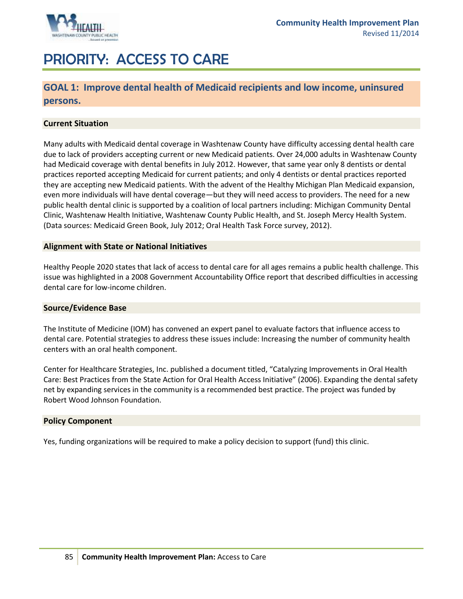

# PRIORITY: ACCESS TO CARE

### **GOAL 1: Improve dental health of Medicaid recipients and low income, uninsured persons.**

### **Current Situation**

Many adults with Medicaid dental coverage in Washtenaw County have difficulty accessing dental health care due to lack of providers accepting current or new Medicaid patients. Over 24,000 adults in Washtenaw County had Medicaid coverage with dental benefits in July 2012. However, that same year only 8 dentists or dental practices reported accepting Medicaid for current patients; and only 4 dentists or dental practices reported they are accepting new Medicaid patients. With the advent of the Healthy Michigan Plan Medicaid expansion, even more individuals will have dental coverage—but they will need access to providers. The need for a new public health dental clinic is supported by a coalition of local partners including: Michigan Community Dental Clinic, Washtenaw Health Initiative, Washtenaw County Public Health, and St. Joseph Mercy Health System. (Data sources: Medicaid Green Book, July 2012; Oral Health Task Force survey, 2012).

#### **Alignment with State or National Initiatives**

Healthy People 2020 states that lack of access to dental care for all ages remains a public health challenge. This issue was highlighted in a 2008 Government Accountability Office report that described difficulties in accessing dental care for low-income children.

#### **Source/Evidence Base**

The Institute of Medicine (IOM) has convened an expert panel to evaluate factors that influence access to dental care. Potential strategies to address these issues include: Increasing the number of community health centers with an oral health component.

Center for Healthcare Strategies, Inc. published a document titled, "Catalyzing Improvements in Oral Health Care: Best Practices from the State Action for Oral Health Access Initiative" (2006). Expanding the dental safety net by expanding services in the community is a recommended best practice. The project was funded by Robert Wood Johnson Foundation.

### **Policy Component**

Yes, funding organizations will be required to make a policy decision to support (fund) this clinic.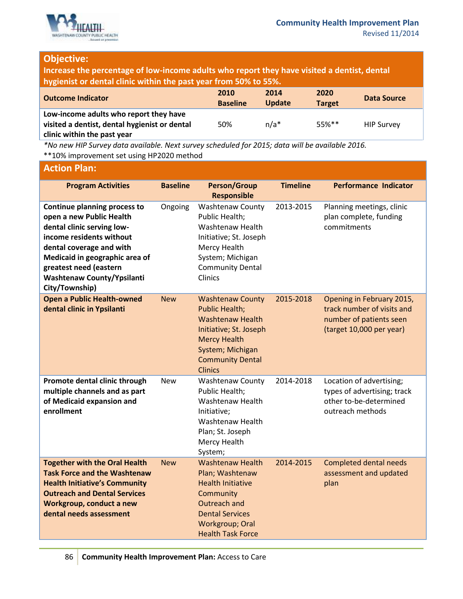

### **Objective:**

**Increase the percentage of low-income adults who report they have visited a dentist, dental hygienist or dental clinic within the past year from 50% to 55%.**

| <b>Outcome Indicator</b>                      | 2010<br><b>Baseline</b> | 2014<br><b>Update</b> | 2020<br><b>Target</b> | Data Source       |
|-----------------------------------------------|-------------------------|-----------------------|-----------------------|-------------------|
| Low-income adults who report they have        |                         |                       |                       |                   |
| visited a dentist, dental hygienist or dental | 50%                     | $n/a*$                | $55\%**$              | <b>HIP Survey</b> |
| clinic within the past year                   |                         |                       |                       |                   |

*\*No new HIP Survey data available. Next survey scheduled for 2015; data will be available 2016.* \*\*10% improvement set using HP2020 method

### **Action Plan:**

| <b>Program Activities</b>                                                                                                                                                                                                                                         | <b>Baseline</b> | <b>Person/Group</b><br><b>Responsible</b>                                                                                                                                                     | <b>Timeline</b> | <b>Performance Indicator</b>                                                                                   |
|-------------------------------------------------------------------------------------------------------------------------------------------------------------------------------------------------------------------------------------------------------------------|-----------------|-----------------------------------------------------------------------------------------------------------------------------------------------------------------------------------------------|-----------------|----------------------------------------------------------------------------------------------------------------|
| Continue planning process to<br>open a new Public Health<br>dental clinic serving low-<br>income residents without<br>dental coverage and with<br>Medicaid in geographic area of<br>greatest need (eastern<br><b>Washtenaw County/Ypsilanti</b><br>City/Township) | Ongoing         | <b>Washtenaw County</b><br>Public Health;<br>Washtenaw Health<br>Initiative; St. Joseph<br>Mercy Health<br>System; Michigan<br><b>Community Dental</b><br>Clinics                             | 2013-2015       | Planning meetings, clinic<br>plan complete, funding<br>commitments                                             |
| <b>Open a Public Health-owned</b><br>dental clinic in Ypsilanti                                                                                                                                                                                                   | <b>New</b>      | <b>Washtenaw County</b><br><b>Public Health;</b><br><b>Washtenaw Health</b><br>Initiative; St. Joseph<br><b>Mercy Health</b><br>System; Michigan<br><b>Community Dental</b><br><b>Clinics</b> | 2015-2018       | Opening in February 2015,<br>track number of visits and<br>number of patients seen<br>(target 10,000 per year) |
| Promote dental clinic through<br>multiple channels and as part<br>of Medicaid expansion and<br>enrollment                                                                                                                                                         | <b>New</b>      | <b>Washtenaw County</b><br>Public Health;<br>Washtenaw Health<br>Initiative;<br>Washtenaw Health<br>Plan; St. Joseph<br>Mercy Health<br>System;                                               | 2014-2018       | Location of advertising;<br>types of advertising; track<br>other to-be-determined<br>outreach methods          |
| <b>Together with the Oral Health</b><br><b>Task Force and the Washtenaw</b><br><b>Health Initiative's Community</b><br><b>Outreach and Dental Services</b><br>Workgroup, conduct a new<br>dental needs assessment                                                 | <b>New</b>      | <b>Washtenaw Health</b><br>Plan; Washtenaw<br><b>Health Initiative</b><br>Community<br>Outreach and<br><b>Dental Services</b><br>Workgroup; Oral<br><b>Health Task Force</b>                  | 2014-2015       | <b>Completed dental needs</b><br>assessment and updated<br>plan                                                |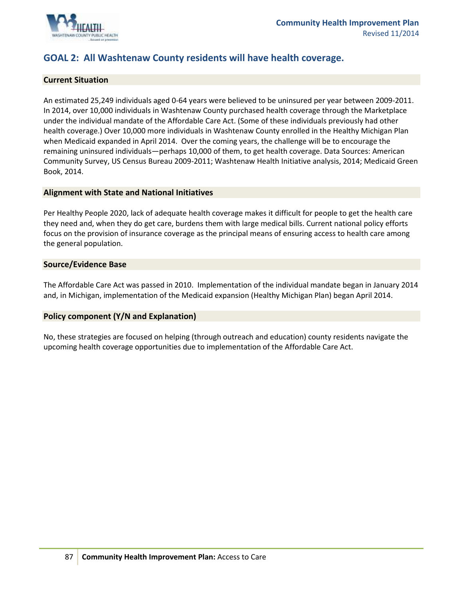

### **GOAL 2: All Washtenaw County residents will have health coverage.**

#### **Current Situation**

An estimated 25,249 individuals aged 0-64 years were believed to be uninsured per year between 2009-2011. In 2014, over 10,000 individuals in Washtenaw County purchased health coverage through the Marketplace under the individual mandate of the Affordable Care Act. (Some of these individuals previously had other health coverage.) Over 10,000 more individuals in Washtenaw County enrolled in the Healthy Michigan Plan when Medicaid expanded in April 2014. Over the coming years, the challenge will be to encourage the remaining uninsured individuals—perhaps 10,000 of them, to get health coverage. Data Sources: American Community Survey, US Census Bureau 2009-2011; Washtenaw Health Initiative analysis, 2014; Medicaid Green Book, 2014.

#### **Alignment with State and National Initiatives**

Per Healthy People 2020, lack of adequate health coverage makes it difficult for people to get the health care they need and, when they do get care, burdens them with large medical bills. Current national policy efforts focus on the provision of insurance coverage as the principal means of ensuring access to health care among the general population.

#### **Source/Evidence Base**

The Affordable Care Act was passed in 2010. Implementation of the individual mandate began in January 2014 and, in Michigan, implementation of the Medicaid expansion (Healthy Michigan Plan) began April 2014.

### **Policy component (Y/N and Explanation)**

No, these strategies are focused on helping (through outreach and education) county residents navigate the upcoming health coverage opportunities due to implementation of the Affordable Care Act.